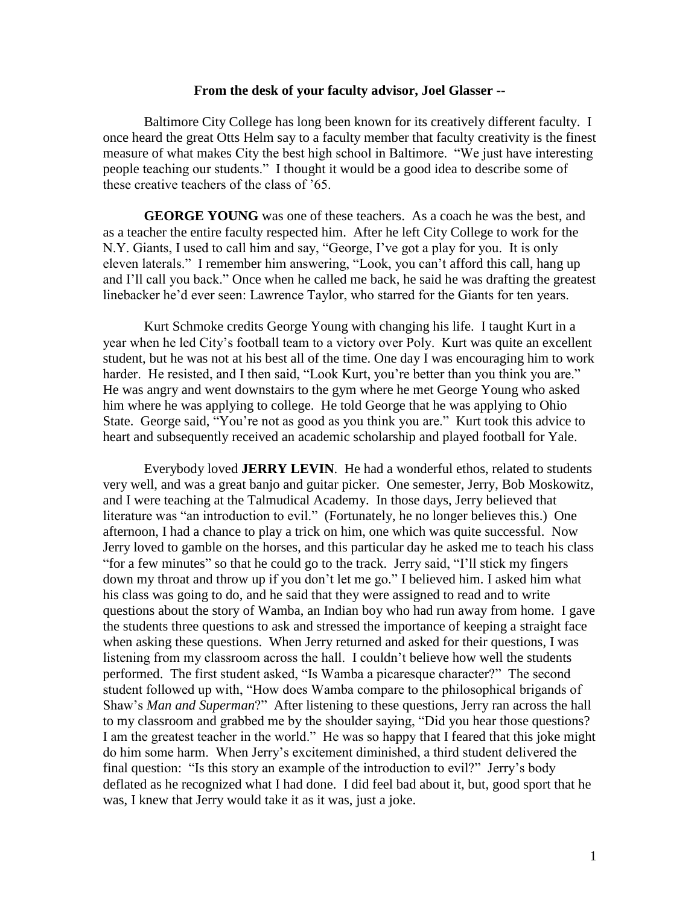### **From the desk of your faculty advisor, Joel Glasser --**

Baltimore City College has long been known for its creatively different faculty. I once heard the great Otts Helm say to a faculty member that faculty creativity is the finest measure of what makes City the best high school in Baltimore. "We just have interesting people teaching our students." I thought it would be a good idea to describe some of these creative teachers of the class of '65.

**GEORGE YOUNG** was one of these teachers. As a coach he was the best, and as a teacher the entire faculty respected him. After he left City College to work for the N.Y. Giants, I used to call him and say, "George, I've got a play for you. It is only eleven laterals." I remember him answering, "Look, you can't afford this call, hang up and I'll call you back." Once when he called me back, he said he was drafting the greatest linebacker he'd ever seen: Lawrence Taylor, who starred for the Giants for ten years.

Kurt Schmoke credits George Young with changing his life. I taught Kurt in a year when he led City's football team to a victory over Poly. Kurt was quite an excellent student, but he was not at his best all of the time. One day I was encouraging him to work harder. He resisted, and I then said, "Look Kurt, you're better than you think you are." He was angry and went downstairs to the gym where he met George Young who asked him where he was applying to college. He told George that he was applying to Ohio State. George said, "You're not as good as you think you are." Kurt took this advice to heart and subsequently received an academic scholarship and played football for Yale.

Everybody loved **JERRY LEVIN**. He had a wonderful ethos, related to students very well, and was a great banjo and guitar picker. One semester, Jerry, Bob Moskowitz, and I were teaching at the Talmudical Academy. In those days, Jerry believed that literature was "an introduction to evil." (Fortunately, he no longer believes this.) One afternoon, I had a chance to play a trick on him, one which was quite successful. Now Jerry loved to gamble on the horses, and this particular day he asked me to teach his class "for a few minutes" so that he could go to the track. Jerry said, "I'll stick my fingers down my throat and throw up if you don't let me go." I believed him. I asked him what his class was going to do, and he said that they were assigned to read and to write questions about the story of Wamba, an Indian boy who had run away from home. I gave the students three questions to ask and stressed the importance of keeping a straight face when asking these questions. When Jerry returned and asked for their questions, I was listening from my classroom across the hall. I couldn't believe how well the students performed. The first student asked, "Is Wamba a picaresque character?" The second student followed up with, "How does Wamba compare to the philosophical brigands of Shaw's *Man and Superman*?" After listening to these questions, Jerry ran across the hall to my classroom and grabbed me by the shoulder saying, "Did you hear those questions? I am the greatest teacher in the world." He was so happy that I feared that this joke might do him some harm. When Jerry's excitement diminished, a third student delivered the final question: "Is this story an example of the introduction to evil?" Jerry's body deflated as he recognized what I had done. I did feel bad about it, but, good sport that he was, I knew that Jerry would take it as it was, just a joke.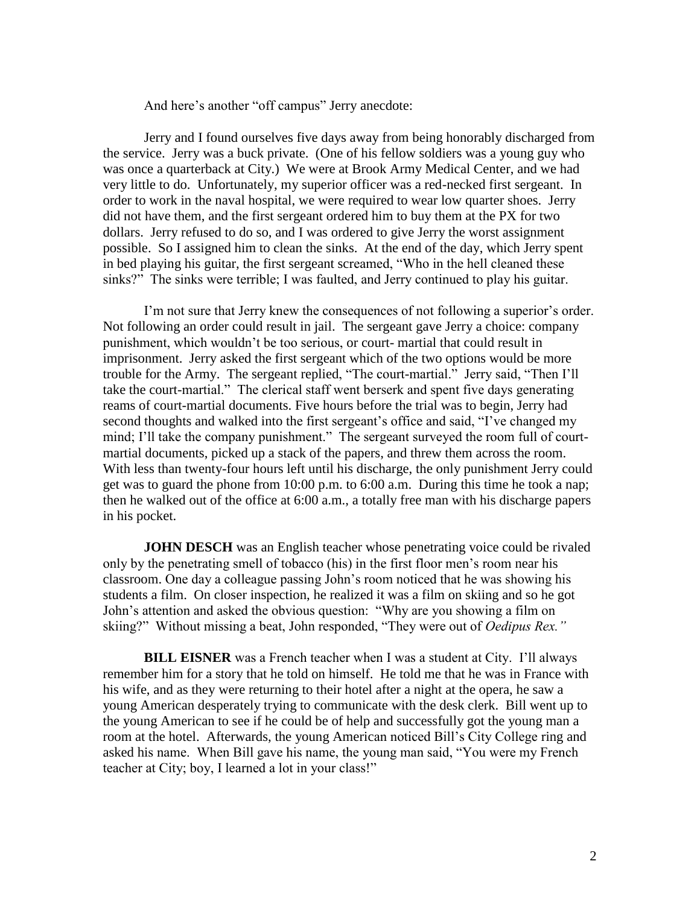And here's another "off campus" Jerry anecdote:

Jerry and I found ourselves five days away from being honorably discharged from the service. Jerry was a buck private. (One of his fellow soldiers was a young guy who was once a quarterback at City.) We were at Brook Army Medical Center, and we had very little to do. Unfortunately, my superior officer was a red-necked first sergeant. In order to work in the naval hospital, we were required to wear low quarter shoes. Jerry did not have them, and the first sergeant ordered him to buy them at the PX for two dollars. Jerry refused to do so, and I was ordered to give Jerry the worst assignment possible. So I assigned him to clean the sinks. At the end of the day, which Jerry spent in bed playing his guitar, the first sergeant screamed, "Who in the hell cleaned these sinks?" The sinks were terrible; I was faulted, and Jerry continued to play his guitar.

I'm not sure that Jerry knew the consequences of not following a superior's order. Not following an order could result in jail. The sergeant gave Jerry a choice: company punishment, which wouldn't be too serious, or court- martial that could result in imprisonment. Jerry asked the first sergeant which of the two options would be more trouble for the Army. The sergeant replied, "The court-martial." Jerry said, "Then I'll take the court-martial." The clerical staff went berserk and spent five days generating reams of court-martial documents. Five hours before the trial was to begin, Jerry had second thoughts and walked into the first sergeant's office and said, "I've changed my mind; I'll take the company punishment." The sergeant surveyed the room full of courtmartial documents, picked up a stack of the papers, and threw them across the room. With less than twenty-four hours left until his discharge, the only punishment Jerry could get was to guard the phone from 10:00 p.m. to 6:00 a.m. During this time he took a nap; then he walked out of the office at 6:00 a.m., a totally free man with his discharge papers in his pocket.

**JOHN DESCH** was an English teacher whose penetrating voice could be rivaled only by the penetrating smell of tobacco (his) in the first floor men's room near his classroom. One day a colleague passing John's room noticed that he was showing his students a film. On closer inspection, he realized it was a film on skiing and so he got John's attention and asked the obvious question: "Why are you showing a film on skiing?" Without missing a beat, John responded, "They were out of *Oedipus Rex."*

**BILL EISNER** was a French teacher when I was a student at City. I'll always remember him for a story that he told on himself. He told me that he was in France with his wife, and as they were returning to their hotel after a night at the opera, he saw a young American desperately trying to communicate with the desk clerk. Bill went up to the young American to see if he could be of help and successfully got the young man a room at the hotel. Afterwards, the young American noticed Bill's City College ring and asked his name. When Bill gave his name, the young man said, "You were my French teacher at City; boy, I learned a lot in your class!"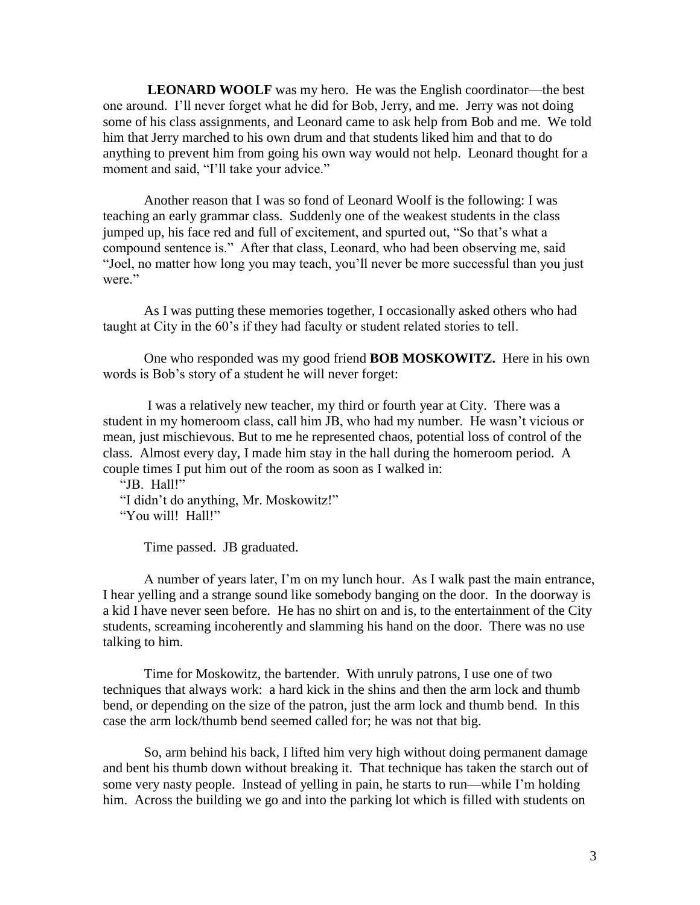**LEONARD WOOLF** was my hero. He was the English coordinator—the best one around. I'll never forget what he did for Bob, Jerry, and me. Jerry was not doing some of his class assignments, and Leonard came to ask help from Bob and me. We told him that Jerry marched to his own drum and that students liked him and that to do anything to prevent him from going his own way would not help. Leonard thought for a moment and said, "I'll take your advice."

Another reason that I was so fond of Leonard Woolf is the following: I was teaching an early grammar class. Suddenly one of the weakest students in the class jumped up, his face red and full of excitement, and spurted out, "So that's what a compound sentence is." After that class, Leonard, who had been observing me, said "Joel, no matter how long you may teach, you'll never be more successful than you just were."

As I was putting these memories together, I occasionally asked others who had taught at City in the 60's if they had faculty or student related stories to tell.

One who responded was my good friend **BOB MOSKOWITZ.** Here in his own words is Bob's story of a student he will never forget:

I was a relatively new teacher, my third or fourth year at City. There was a student in my homeroom class, call him JB, who had my number. He wasn't vicious or mean, just mischievous. But to me he represented chaos, potential loss of control of the class. Almost every day, I made him stay in the hall during the homeroom period. A couple times I put him out of the room as soon as I walked in:

"JB. Hall!"

 "I didn't do anything, Mr. Moskowitz!" "You will! Hall!"

Time passed. JB graduated.

A number of years later, I'm on my lunch hour. As I walk past the main entrance, I hear yelling and a strange sound like somebody banging on the door. In the doorway is a kid I have never seen before. He has no shirt on and is, to the entertainment of the City students, screaming incoherently and slamming his hand on the door. There was no use talking to him.

Time for Moskowitz, the bartender. With unruly patrons, I use one of two techniques that always work: a hard kick in the shins and then the arm lock and thumb bend, or depending on the size of the patron, just the arm lock and thumb bend. In this case the arm lock/thumb bend seemed called for; he was not that big.

So, arm behind his back, I lifted him very high without doing permanent damage and bent his thumb down without breaking it. That technique has taken the starch out of some very nasty people. Instead of yelling in pain, he starts to run—while I'm holding him. Across the building we go and into the parking lot which is filled with students on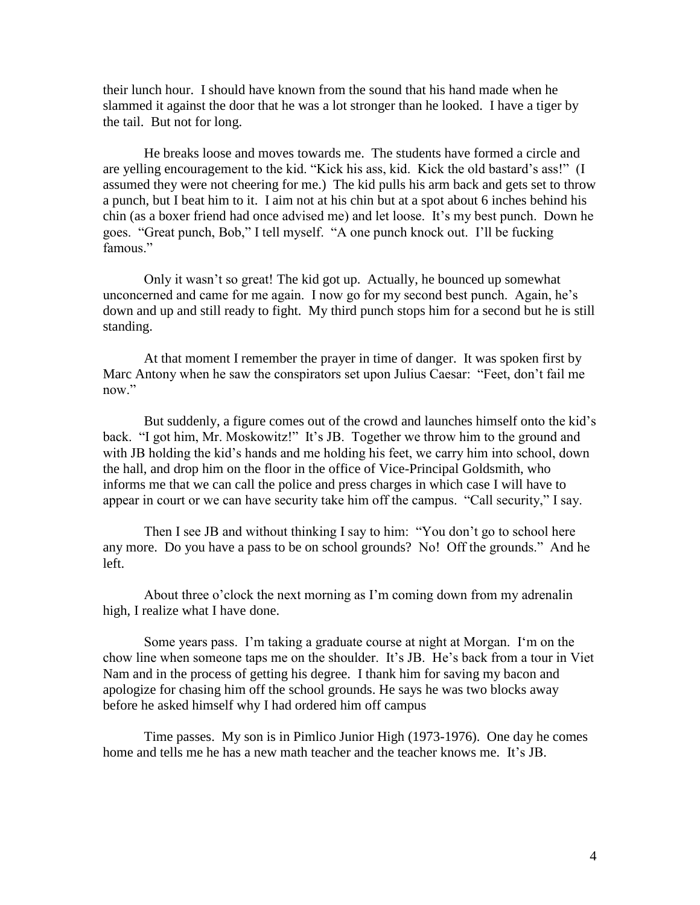their lunch hour. I should have known from the sound that his hand made when he slammed it against the door that he was a lot stronger than he looked. I have a tiger by the tail. But not for long.

He breaks loose and moves towards me. The students have formed a circle and are yelling encouragement to the kid. "Kick his ass, kid. Kick the old bastard's ass!" (I assumed they were not cheering for me.) The kid pulls his arm back and gets set to throw a punch, but I beat him to it. I aim not at his chin but at a spot about 6 inches behind his chin (as a boxer friend had once advised me) and let loose. It's my best punch. Down he goes. "Great punch, Bob," I tell myself. "A one punch knock out. I'll be fucking famous."

Only it wasn't so great! The kid got up. Actually, he bounced up somewhat unconcerned and came for me again. I now go for my second best punch. Again, he's down and up and still ready to fight. My third punch stops him for a second but he is still standing.

At that moment I remember the prayer in time of danger. It was spoken first by Marc Antony when he saw the conspirators set upon Julius Caesar: "Feet, don't fail me now."

But suddenly, a figure comes out of the crowd and launches himself onto the kid's back. "I got him, Mr. Moskowitz!" It's JB. Together we throw him to the ground and with JB holding the kid's hands and me holding his feet, we carry him into school, down the hall, and drop him on the floor in the office of Vice-Principal Goldsmith, who informs me that we can call the police and press charges in which case I will have to appear in court or we can have security take him off the campus. "Call security," I say.

Then I see JB and without thinking I say to him: "You don't go to school here any more. Do you have a pass to be on school grounds? No! Off the grounds." And he left.

About three o'clock the next morning as I'm coming down from my adrenalin high, I realize what I have done.

Some years pass. I'm taking a graduate course at night at Morgan. I'm on the chow line when someone taps me on the shoulder. It's JB. He's back from a tour in Viet Nam and in the process of getting his degree. I thank him for saving my bacon and apologize for chasing him off the school grounds. He says he was two blocks away before he asked himself why I had ordered him off campus

Time passes. My son is in Pimlico Junior High (1973-1976). One day he comes home and tells me he has a new math teacher and the teacher knows me. It's JB.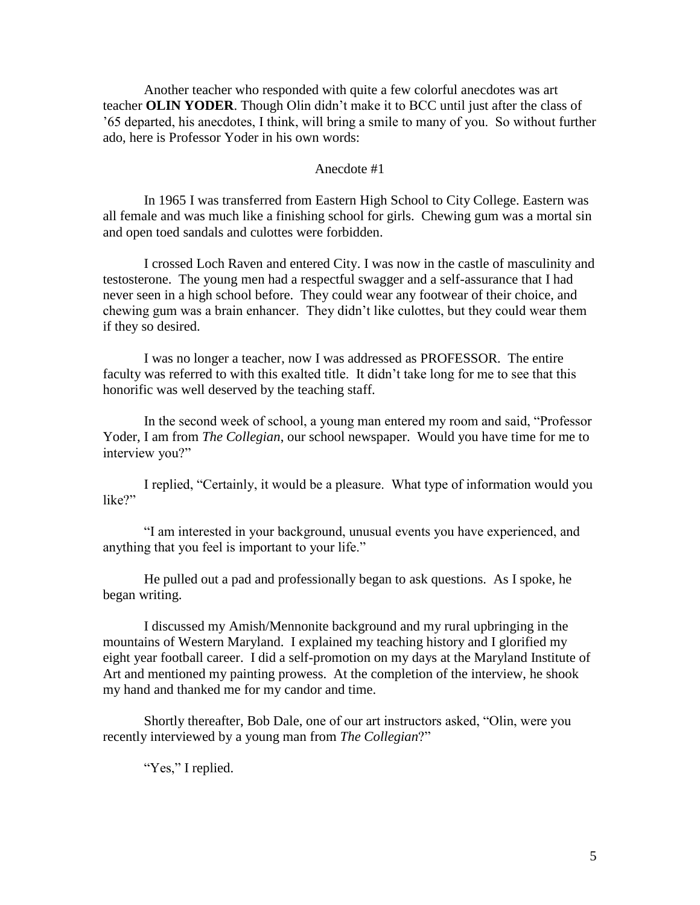Another teacher who responded with quite a few colorful anecdotes was art teacher **OLIN YODER**. Though Olin didn't make it to BCC until just after the class of '65 departed, his anecdotes, I think, will bring a smile to many of you. So without further ado, here is Professor Yoder in his own words:

### Anecdote #1

In 1965 I was transferred from Eastern High School to City College. Eastern was all female and was much like a finishing school for girls. Chewing gum was a mortal sin and open toed sandals and culottes were forbidden.

I crossed Loch Raven and entered City. I was now in the castle of masculinity and testosterone. The young men had a respectful swagger and a self-assurance that I had never seen in a high school before. They could wear any footwear of their choice, and chewing gum was a brain enhancer. They didn't like culottes, but they could wear them if they so desired.

I was no longer a teacher, now I was addressed as PROFESSOR. The entire faculty was referred to with this exalted title. It didn't take long for me to see that this honorific was well deserved by the teaching staff.

In the second week of school, a young man entered my room and said, "Professor Yoder, I am from *The Collegian*, our school newspaper. Would you have time for me to interview you?"

I replied, "Certainly, it would be a pleasure. What type of information would you like?"

"I am interested in your background, unusual events you have experienced, and anything that you feel is important to your life."

He pulled out a pad and professionally began to ask questions. As I spoke, he began writing.

I discussed my Amish/Mennonite background and my rural upbringing in the mountains of Western Maryland. I explained my teaching history and I glorified my eight year football career. I did a self-promotion on my days at the Maryland Institute of Art and mentioned my painting prowess. At the completion of the interview, he shook my hand and thanked me for my candor and time.

Shortly thereafter, Bob Dale, one of our art instructors asked, "Olin, were you recently interviewed by a young man from *The Collegian*?"

"Yes," I replied.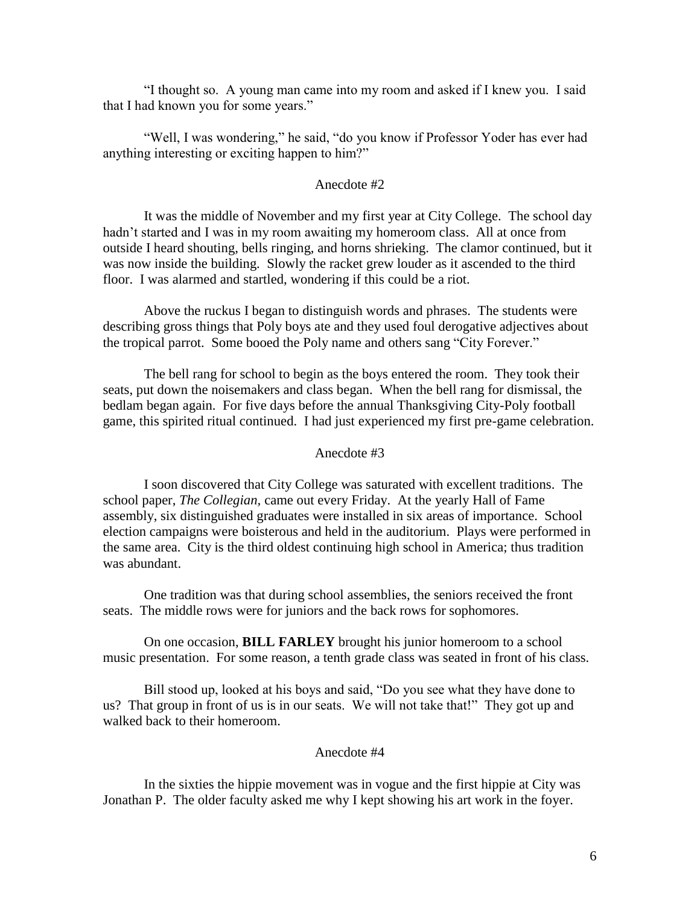"I thought so. A young man came into my room and asked if I knew you. I said that I had known you for some years."

"Well, I was wondering," he said, "do you know if Professor Yoder has ever had anything interesting or exciting happen to him?"

# Anecdote #2

It was the middle of November and my first year at City College. The school day hadn't started and I was in my room awaiting my homeroom class. All at once from outside I heard shouting, bells ringing, and horns shrieking. The clamor continued, but it was now inside the building. Slowly the racket grew louder as it ascended to the third floor. I was alarmed and startled, wondering if this could be a riot.

Above the ruckus I began to distinguish words and phrases. The students were describing gross things that Poly boys ate and they used foul derogative adjectives about the tropical parrot. Some booed the Poly name and others sang "City Forever."

The bell rang for school to begin as the boys entered the room. They took their seats, put down the noisemakers and class began. When the bell rang for dismissal, the bedlam began again. For five days before the annual Thanksgiving City-Poly football game, this spirited ritual continued. I had just experienced my first pre-game celebration.

#### Anecdote #3

I soon discovered that City College was saturated with excellent traditions. The school paper, *The Collegian,* came out every Friday. At the yearly Hall of Fame assembly, six distinguished graduates were installed in six areas of importance. School election campaigns were boisterous and held in the auditorium. Plays were performed in the same area. City is the third oldest continuing high school in America; thus tradition was abundant.

One tradition was that during school assemblies, the seniors received the front seats. The middle rows were for juniors and the back rows for sophomores.

On one occasion, **BILL FARLEY** brought his junior homeroom to a school music presentation. For some reason, a tenth grade class was seated in front of his class.

Bill stood up, looked at his boys and said, "Do you see what they have done to us? That group in front of us is in our seats. We will not take that!" They got up and walked back to their homeroom.

## Anecdote #4

In the sixties the hippie movement was in vogue and the first hippie at City was Jonathan P. The older faculty asked me why I kept showing his art work in the foyer.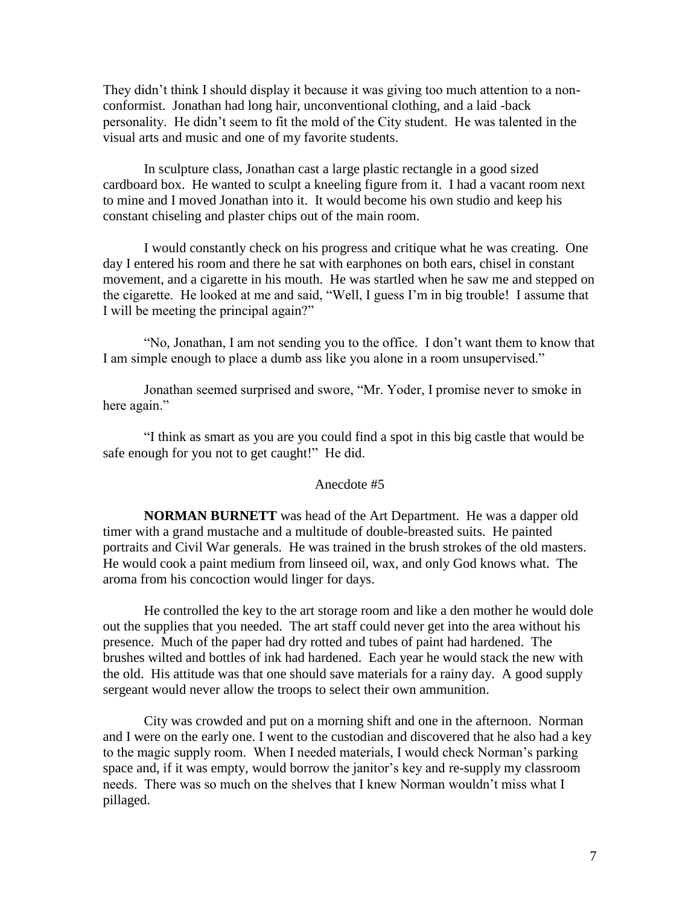They didn't think I should display it because it was giving too much attention to a nonconformist. Jonathan had long hair, unconventional clothing, and a laid -back personality. He didn't seem to fit the mold of the City student. He was talented in the visual arts and music and one of my favorite students.

In sculpture class, Jonathan cast a large plastic rectangle in a good sized cardboard box. He wanted to sculpt a kneeling figure from it. I had a vacant room next to mine and I moved Jonathan into it. It would become his own studio and keep his constant chiseling and plaster chips out of the main room.

I would constantly check on his progress and critique what he was creating. One day I entered his room and there he sat with earphones on both ears, chisel in constant movement, and a cigarette in his mouth. He was startled when he saw me and stepped on the cigarette. He looked at me and said, "Well, I guess I'm in big trouble! I assume that I will be meeting the principal again?"

"No, Jonathan, I am not sending you to the office. I don't want them to know that I am simple enough to place a dumb ass like you alone in a room unsupervised."

Jonathan seemed surprised and swore, "Mr. Yoder, I promise never to smoke in here again."

"I think as smart as you are you could find a spot in this big castle that would be safe enough for you not to get caught!" He did.

# Anecdote #5

**NORMAN BURNETT** was head of the Art Department. He was a dapper old timer with a grand mustache and a multitude of double-breasted suits. He painted portraits and Civil War generals. He was trained in the brush strokes of the old masters. He would cook a paint medium from linseed oil, wax, and only God knows what. The aroma from his concoction would linger for days.

He controlled the key to the art storage room and like a den mother he would dole out the supplies that you needed. The art staff could never get into the area without his presence. Much of the paper had dry rotted and tubes of paint had hardened. The brushes wilted and bottles of ink had hardened. Each year he would stack the new with the old. His attitude was that one should save materials for a rainy day. A good supply sergeant would never allow the troops to select their own ammunition.

City was crowded and put on a morning shift and one in the afternoon. Norman and I were on the early one. I went to the custodian and discovered that he also had a key to the magic supply room. When I needed materials, I would check Norman's parking space and, if it was empty, would borrow the janitor's key and re-supply my classroom needs. There was so much on the shelves that I knew Norman wouldn't miss what I pillaged.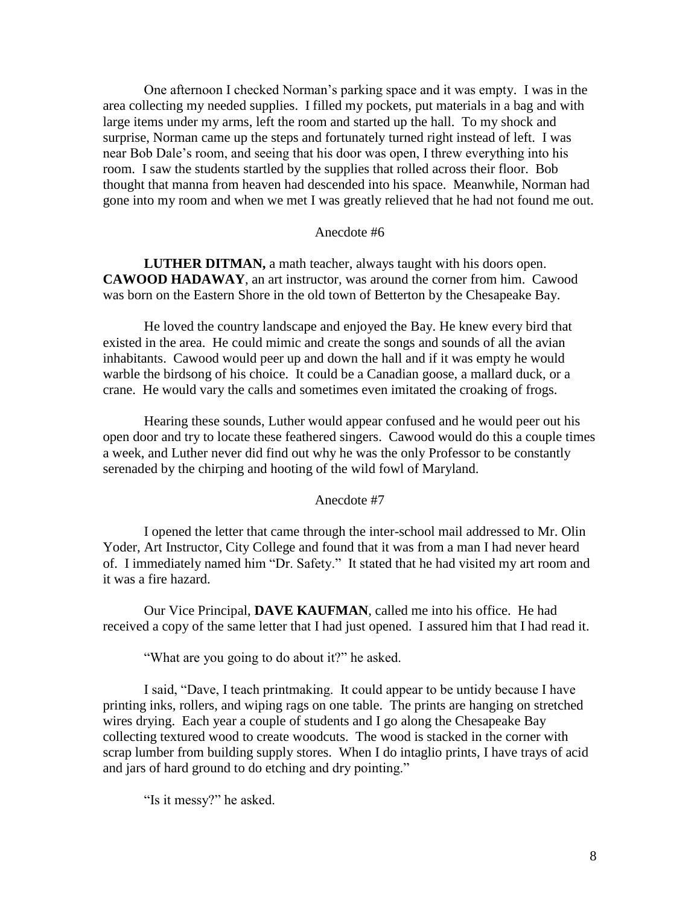One afternoon I checked Norman's parking space and it was empty. I was in the area collecting my needed supplies. I filled my pockets, put materials in a bag and with large items under my arms, left the room and started up the hall. To my shock and surprise, Norman came up the steps and fortunately turned right instead of left. I was near Bob Dale's room, and seeing that his door was open, I threw everything into his room. I saw the students startled by the supplies that rolled across their floor. Bob thought that manna from heaven had descended into his space. Meanwhile, Norman had gone into my room and when we met I was greatly relieved that he had not found me out.

# Anecdote #6

**LUTHER DITMAN,** a math teacher, always taught with his doors open. **CAWOOD HADAWAY**, an art instructor, was around the corner from him. Cawood was born on the Eastern Shore in the old town of Betterton by the Chesapeake Bay.

He loved the country landscape and enjoyed the Bay. He knew every bird that existed in the area. He could mimic and create the songs and sounds of all the avian inhabitants. Cawood would peer up and down the hall and if it was empty he would warble the birdsong of his choice. It could be a Canadian goose, a mallard duck, or a crane. He would vary the calls and sometimes even imitated the croaking of frogs.

Hearing these sounds, Luther would appear confused and he would peer out his open door and try to locate these feathered singers. Cawood would do this a couple times a week, and Luther never did find out why he was the only Professor to be constantly serenaded by the chirping and hooting of the wild fowl of Maryland.

#### Anecdote #7

I opened the letter that came through the inter-school mail addressed to Mr. Olin Yoder, Art Instructor, City College and found that it was from a man I had never heard of. I immediately named him "Dr. Safety." It stated that he had visited my art room and it was a fire hazard.

Our Vice Principal, **DAVE KAUFMAN**, called me into his office. He had received a copy of the same letter that I had just opened. I assured him that I had read it.

"What are you going to do about it?" he asked.

I said, "Dave, I teach printmaking. It could appear to be untidy because I have printing inks, rollers, and wiping rags on one table. The prints are hanging on stretched wires drying. Each year a couple of students and I go along the Chesapeake Bay collecting textured wood to create woodcuts. The wood is stacked in the corner with scrap lumber from building supply stores. When I do intaglio prints, I have trays of acid and jars of hard ground to do etching and dry pointing."

"Is it messy?" he asked.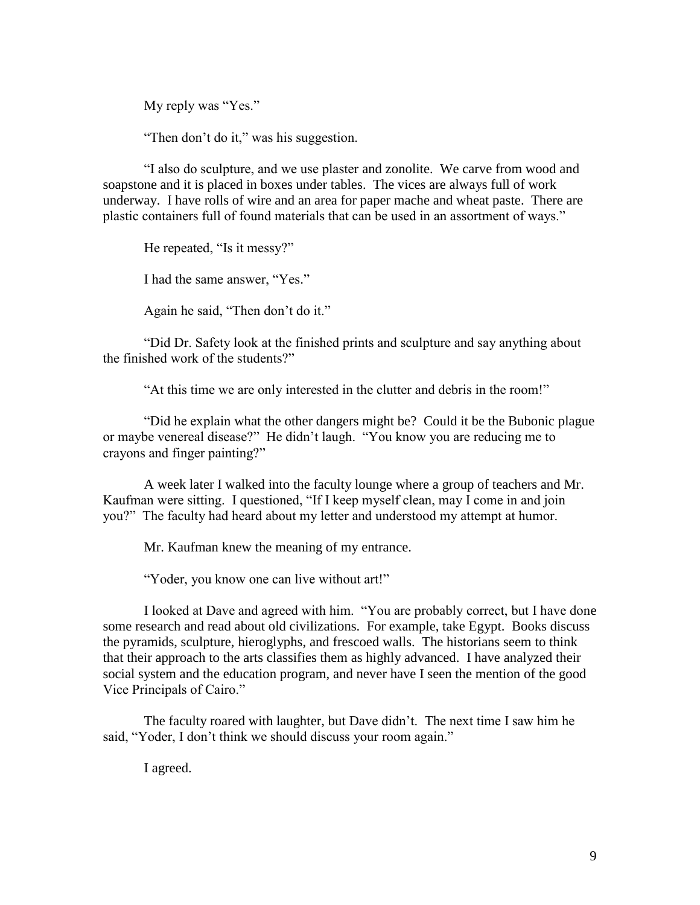My reply was "Yes."

"Then don't do it," was his suggestion.

"I also do sculpture, and we use plaster and zonolite. We carve from wood and soapstone and it is placed in boxes under tables. The vices are always full of work underway. I have rolls of wire and an area for paper mache and wheat paste. There are plastic containers full of found materials that can be used in an assortment of ways."

He repeated, "Is it messy?" I had the same answer, "Yes." Again he said, "Then don't do it."

"Did Dr. Safety look at the finished prints and sculpture and say anything about the finished work of the students?"

"At this time we are only interested in the clutter and debris in the room!"

"Did he explain what the other dangers might be? Could it be the Bubonic plague or maybe venereal disease?" He didn't laugh. "You know you are reducing me to crayons and finger painting?"

A week later I walked into the faculty lounge where a group of teachers and Mr. Kaufman were sitting. I questioned, "If I keep myself clean, may I come in and join you?" The faculty had heard about my letter and understood my attempt at humor.

Mr. Kaufman knew the meaning of my entrance.

"Yoder, you know one can live without art!"

I looked at Dave and agreed with him. "You are probably correct, but I have done some research and read about old civilizations. For example, take Egypt. Books discuss the pyramids, sculpture, hieroglyphs, and frescoed walls. The historians seem to think that their approach to the arts classifies them as highly advanced. I have analyzed their social system and the education program, and never have I seen the mention of the good Vice Principals of Cairo."

The faculty roared with laughter, but Dave didn't. The next time I saw him he said, "Yoder, I don't think we should discuss your room again."

I agreed.